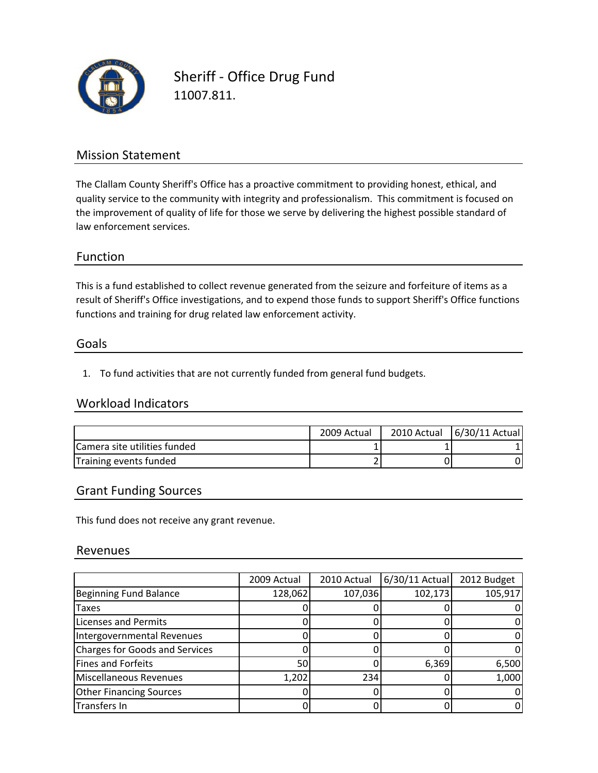

Sheriff ‐ Office Drug Fund 11007.811.

### Mission Statement

The Clallam County Sheriff's Office has a proactive commitment to providing honest, ethical, and quality service to the community with integrity and professionalism. This commitment is focused on the improvement of quality of life for those we serve by delivering the highest possible standard of law enforcement services.

#### Function

This is a fund established to collect revenue generated from the seizure and forfeiture of items as a functions and training for drug related law enforcement activity. result of Sheriff's Office investigations, and to expend those funds to support Sheriff's Office functions

#### Goals

1. To fund activities that are not currently funded from general fund budgets.

#### Workload Indicators

|                              | 2009 Actual | 2010 Actual | 6/30/11 Actual |
|------------------------------|-------------|-------------|----------------|
| Camera site utilities funded |             |             |                |
| Training events funded       |             |             |                |

#### Grant Funding Sources

This fund does not receive any grant revenue.

#### Revenues

|                                | 2009 Actual | 2010 Actual | $6/30/11$ Actual | 2012 Budget |
|--------------------------------|-------------|-------------|------------------|-------------|
| Beginning Fund Balance         | 128,062     | 107,036     | 102,173          | 105,917     |
| Taxes                          |             |             |                  |             |
| <b>Licenses and Permits</b>    |             |             |                  |             |
| Intergovernmental Revenues     |             |             |                  |             |
| Charges for Goods and Services |             |             |                  |             |
| Fines and Forfeits             | 50          |             | 6,369            | 6,500       |
| Miscellaneous Revenues         | 1,202       | 234         |                  | 1,000       |
| <b>Other Financing Sources</b> |             |             |                  |             |
| Transfers In                   |             |             |                  |             |